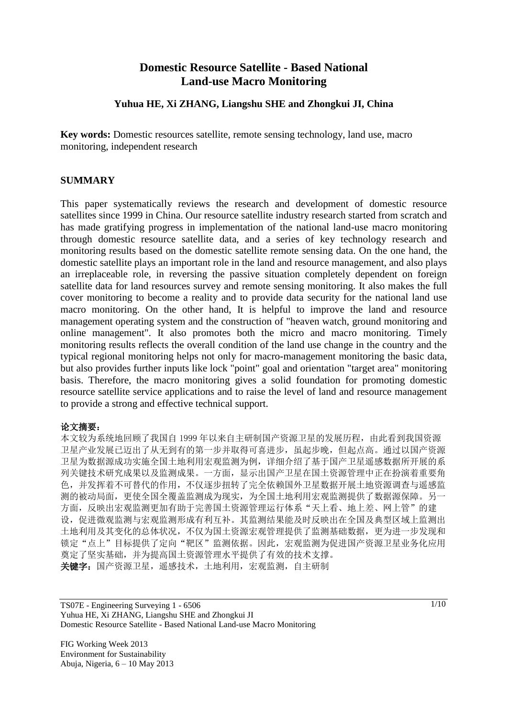# **Domestic Resource Satellite - Based National Land-use Macro Monitoring**

#### **Yuhua HE, Xi ZHANG, Liangshu SHE and Zhongkui JI, China**

**Key words:** Domestic resources satellite, remote sensing technology, land use, macro monitoring, independent research

### **SUMMARY**

This paper systematically reviews the research and development of domestic resource satellites since 1999 in China. Our resource satellite industry research started from scratch and has made gratifying progress in implementation of the national land-use macro monitoring through domestic resource satellite data, and a series of key technology research and monitoring results based on the domestic satellite remote sensing data. On the one hand, the domestic satellite plays an important role in the land and resource management, and also plays an irreplaceable role, in reversing the passive situation completely dependent on foreign satellite data for land resources survey and remote sensing monitoring. It also makes the full cover monitoring to become a reality and to provide data security for the national land use macro monitoring. On the other hand, It is helpful to improve the land and resource management operating system and the construction of "heaven watch, ground monitoring and online management". It also promotes both the micro and macro monitoring. Timely monitoring results reflects the overall condition of the land use change in the country and the typical regional monitoring helps not only for macro-management monitoring the basic data, but also provides further inputs like lock "point" goal and orientation "target area" monitoring basis. Therefore, the macro monitoring gives a solid foundation for promoting domestic resource satellite service applications and to raise the level of land and resource management to provide a strong and effective technical support.

#### 论文摘要:

本文较为系统地回顾了我国自 1999 年以来自主研制国产资源卫星的发展历程,由此看到我国资源 卫星产业发展已迈出了从无到有的第一步并取得可喜进步,虽起步晚,但起点高。通过以国产资源 卫星为数据源成功实施全国土地利用宏观监测为例,详细介绍了基于国产卫星遥感数据所开展的系 列关键技术研究成果以及监测成果。一方面,显示出国产卫星在国土资源管理中正在扮演着重要角 色,并发挥着不可替代的作用,不仅逐步扭转了完全依赖国外卫星数据开展土地资源调查与遥感监 测的被动局面,更使全国全覆盖监测成为现实,为全国土地利用宏观监测提供了数据源保障。另一 方面,反映出宏观监测更加有助于完善国土资源管理运行体系"天上看、地上差、网上管"的建 设,促进微观监测与宏观监测形成有利互补。其监测结果能及时反映出在全国及典型区域上监测出 土地利用及其变化的总体状况,不仅为国土资源宏观管理提供了监测基础数据,更为进一步发现和 锁定"点上"目标提供了定向"靶区"监测依据。因此,宏观监测为促进国产资源卫星业务化应用 奠定了坚实基础,并为提高国土资源管理水平提供了有效的技术支撑。 关键字:国产资源卫星,遥感技术,土地利用,宏观监测,自主研制

TS07E - Engineering Surveying 1 - 6506 Yuhua HE, Xi ZHANG, Liangshu SHE and Zhongkui JI Domestic Resource Satellite - Based National Land-use Macro Monitoring

FIG Working Week 2013 Environment for Sustainability Abuja, Nigeria, 6 – 10 May 2013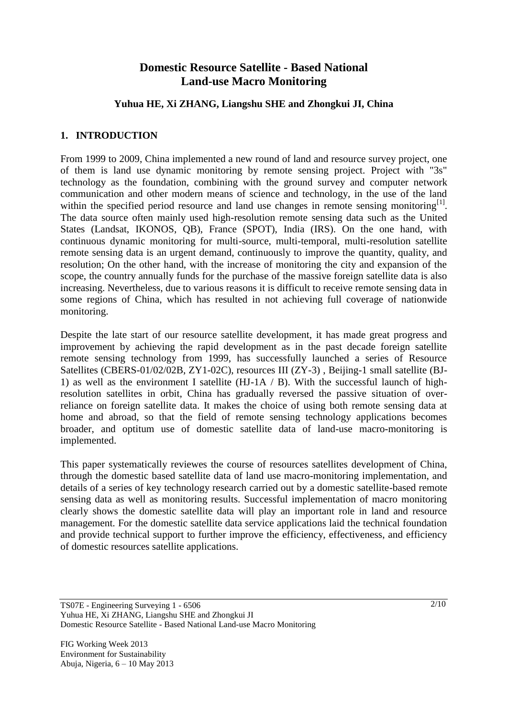# **Domestic Resource Satellite - Based National Land-use Macro Monitoring**

### **Yuhua HE, Xi ZHANG, Liangshu SHE and Zhongkui JI, China**

### **1. INTRODUCTION**

From 1999 to 2009, China implemented a new round of land and resource survey project, one of them is land use dynamic monitoring by remote sensing project. Project with "3s" technology as the foundation, combining with the ground survey and computer network communication and other modern means of science and technology, in the use of the land within the specified period resource and land use changes in remote sensing monitoring $^{[1]}$ . The data source often mainly used high-resolution remote sensing data such as the United States (Landsat, IKONOS, QB), France (SPOT), India (IRS). On the one hand, with continuous dynamic monitoring for multi-source, multi-temporal, multi-resolution satellite remote sensing data is an urgent demand, continuously to improve the quantity, quality, and resolution; On the other hand, with the increase of monitoring the city and expansion of the scope, the country annually funds for the purchase of the massive foreign satellite data is also increasing. Nevertheless, due to various reasons it is difficult to receive remote sensing data in some regions of China, which has resulted in not achieving full coverage of nationwide monitoring.

Despite the late start of our resource satellite development, it has made great progress and improvement by achieving the rapid development as in the past decade foreign satellite remote sensing technology from 1999, has successfully launched a series of Resource Satellites (CBERS-01/02/02B, ZY1-02C), resources III (ZY-3), Beijing-1 small satellite (BJ-1) as well as the environment I satellite (HJ-1A  $/$  B). With the successful launch of highresolution satellites in orbit, China has gradually reversed the passive situation of overreliance on foreign satellite data. It makes the choice of using both remote sensing data at home and abroad, so that the field of remote sensing technology applications becomes broader, and optitum use of domestic satellite data of land-use macro-monitoring is implemented.

This paper systematically reviewes the course of resources satellites development of China, through the domestic based satellite data of land use macro-monitoring implementation, and details of a series of key technology research carried out by a domestic satellite-based remote sensing data as well as monitoring results. Successful implementation of macro monitoring clearly shows the domestic satellite data will play an important role in land and resource management. For the domestic satellite data service applications laid the technical foundation and provide technical support to further improve the efficiency, effectiveness, and efficiency of domestic resources satellite applications.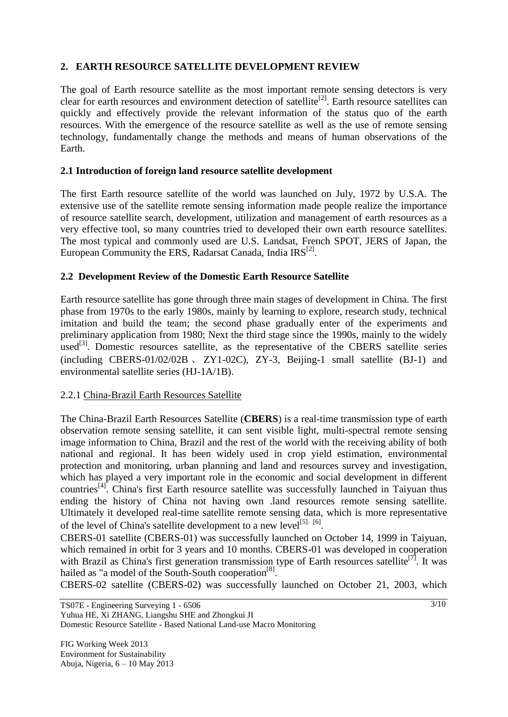## **2. EARTH RESOURCE SATELLITE DEVELOPMENT REVIEW**

The goal of Earth resource satellite as the most important remote sensing detectors is very clear for earth resources and environment detection of satellite<sup>[2]</sup>. Earth resource satellites can quickly and effectively provide the relevant information of the status quo of the earth resources. With the emergence of the resource satellite as well as the use of remote sensing technology, fundamentally change the methods and means of human observations of the Earth.

### **2.1 Introduction of foreign land resource satellite development**

The first Earth resource satellite of the world was launched on July, 1972 by U.S.A. The extensive use of the satellite remote sensing information made people realize the importance of resource satellite search, development, utilization and management of earth resources as a very effective tool, so many countries tried to developed their own earth resource satellites. The most typical and commonly used are U.S. Landsat, French SPOT, JERS of Japan, the European Community the ERS, Radarsat Canada, India IRS<sup>[2]</sup>.

### **2.2 Development Review of the Domestic Earth Resource Satellite**

Earth resource satellite has gone through three main stages of development in China. The first phase from 1970s to the early 1980s, mainly by learning to explore, research study, technical imitation and build the team; the second phase gradually enter of the experiments and preliminary application from 1980; Next the third stage since the 1990s, mainly to the widely used<sup>[3]</sup>. Domestic resources satellite, as the representative of the CBERS satellite series (including CBERS-01/02/02B 、 ZY1-02C), ZY-3, Beijing-1 small satellite (BJ-1) and environmental satellite series (HJ-1A/1B).

### 2.2.1 China-Brazil Earth Resources Satellite

The China-Brazil Earth Resources Satellite (**CBERS**) is a real-time transmission type of earth observation remote sensing satellite, it can sent visible light, multi-spectral remote sensing image information to China, Brazil and the rest of the world with the receiving ability of both national and regional. It has been widely used in crop yield estimation, environmental protection and monitoring, urban planning and land and resources survey and investigation, which has played a very important role in the economic and social development in different countries[4]. China's first Earth resource satellite was successfully launched in Taiyuan thus ending the history of China not having own .land resources remote sensing satellite. Ultimately it developed real-time satellite remote sensing data, which is more representative of the level of China's satellite development to a new level<sup>[5], [6]</sup>.

CBERS-01 satellite (CBERS-01) was successfully launched on October 14, 1999 in Taiyuan, which remained in orbit for 3 years and 10 months. CBERS-01 was developed in cooperation with Brazil as China's first generation transmission type of Earth resources satellite<sup>[7]</sup>. It was hailed as "a model of the South-South cooperation<sup>[8]</sup>.

CBERS-02 satellite (CBERS-02) was successfully launched on October 21, 2003, which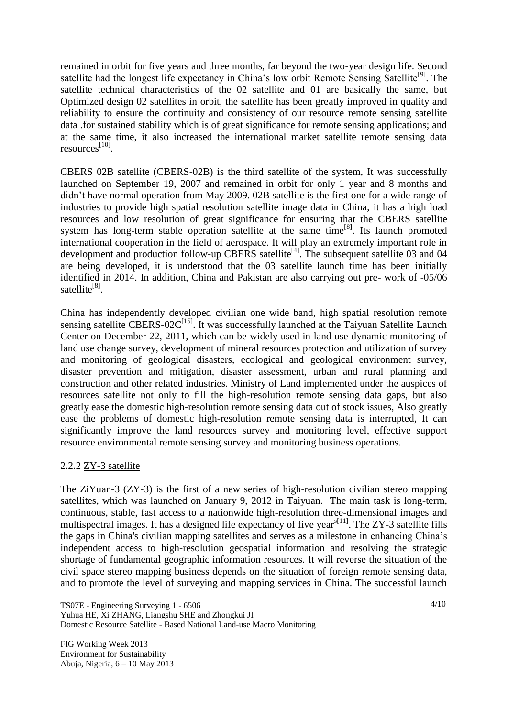remained in orbit for five years and three months, far beyond the two-year design life. Second satellite had the longest life expectancy in China's low orbit Remote Sensing Satellite<sup>[9]</sup>. The satellite technical characteristics of the 02 satellite and 01 are basically the same, but Optimized design 02 satellites in orbit, the satellite has been greatly improved in quality and reliability to ensure the continuity and consistency of our resource remote sensing satellite data .for sustained stability which is of great significance for remote sensing applications; and at the same time, it also increased the international market satellite remote sensing data resources<sup>[10]</sup>.

CBERS 02B satellite (CBERS-02B) is the third satellite of the system, It was successfully launched on September 19, 2007 and remained in orbit for only 1 year and 8 months and didn't have normal operation from May 2009. 02B satellite is the first one for a wide range of industries to provide high spatial resolution satellite image data in China, it has a high load resources and low resolution of great significance for ensuring that the CBERS satellite system has long-term stable operation satellite at the same time<sup>[8]</sup>. Its launch promoted international cooperation in the field of aerospace. It will play an extremely important role in development and production follow-up CBERS satellite<sup>[4]</sup>. The subsequent satellite 03 and 04 are being developed, it is understood that the 03 satellite launch time has been initially identified in 2014. In addition, China and Pakistan are also carrying out pre- work of -05/06 satellite<sup>[8]</sup>.

China has independently developed civilian one wide band, high spatial resolution remote sensing satellite CBERS-02C<sup>[15]</sup>. It was successfully launched at the Taiyuan Satellite Launch Center on December 22, 2011, which can be widely used in land use dynamic monitoring of land use change survey, development of mineral resources protection and utilization of survey and monitoring of geological disasters, ecological and geological environment survey, disaster prevention and mitigation, disaster assessment, urban and rural planning and construction and other related industries. Ministry of Land implemented under the auspices of resources satellite not only to fill the high-resolution remote sensing data gaps, but also greatly ease the domestic high-resolution remote sensing data out of stock issues, Also greatly ease the problems of domestic high-resolution remote sensing data is interrupted, It can significantly improve the land resources survey and monitoring level, effective support resource environmental remote sensing survey and monitoring business operations.

### 2.2.2 ZY-3 satellite

The ZiYuan-3 (ZY-3) is the first of a new series of high-resolution civilian stereo mapping satellites, which was launched on January 9, 2012 in Taiyuan. The main task is long-term, continuous, stable, fast access to a nationwide high-resolution three-dimensional images and multispectral images. It has a designed life expectancy of five years<sup> $[11]$ </sup>. The ZY-3 satellite fills the gaps in China's civilian mapping satellites and serves as a milestone in enhancing China's independent access to high-resolution geospatial information and resolving the strategic shortage of fundamental geographic information resources. It will reverse the situation of the civil space stereo mapping business depends on the situation of foreign remote sensing data, and to promote the level of surveying and mapping services in China. The successful launch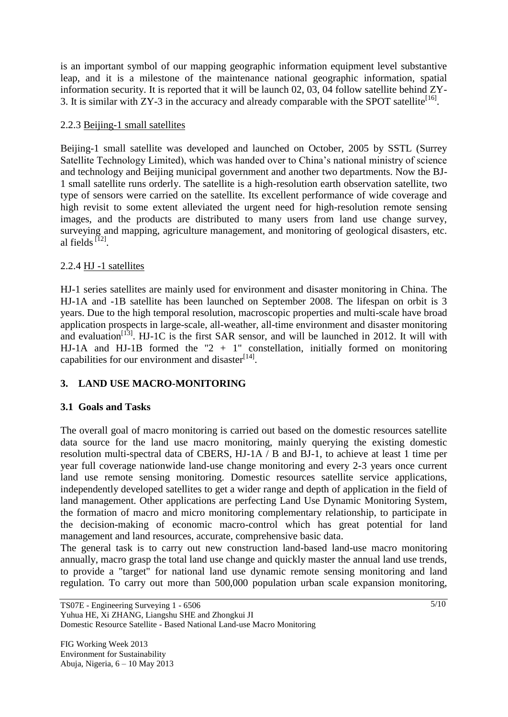is an important symbol of our mapping geographic information equipment level substantive leap, and it is a milestone of the maintenance national geographic information, spatial information security. It is reported that it will be launch 02, 03, 04 follow satellite behind ZY-3. It is similar with  $ZY-3$  in the accuracy and already comparable with the SPOT satellite<sup>[16]</sup>.

## 2.2.3 Beijing-1 small satellites

Beijing-1 small satellite was developed and launched on October, 2005 by SSTL (Surrey Satellite Technology Limited), which was handed over to China's national ministry of science and technology and Beijing municipal government and another two departments. Now the BJ-1 small satellite runs orderly. The satellite is a high-resolution earth observation satellite, two type of sensors were carried on the satellite. Its excellent performance of wide coverage and high revisit to some extent alleviated the urgent need for high-resolution remote sensing images, and the products are distributed to many users from land use change survey, surveying and mapping, agriculture management, and monitoring of geological disasters, etc. al fields  $^{[12]}$ .

## 2.2.4 HJ -1 satellites

HJ-1 series satellites are mainly used for environment and disaster monitoring in China. The HJ-1A and -1B satellite has been launched on September 2008. The lifespan on orbit is 3 years. Due to the high temporal resolution, macroscopic properties and multi-scale have broad application prospects in large-scale, all-weather, all-time environment and disaster monitoring and evaluation<sup>[13]</sup>. HJ-1C is the first SAR sensor, and will be launched in 2012. It will with HJ-1A and HJ-1B formed the "2 + 1" constellation, initially formed on monitoring capabilities for our environment and disaster<sup>[14]</sup>.

## **3. LAND USE MACRO-MONITORING**

## **3.1 Goals and Tasks**

The overall goal of macro monitoring is carried out based on the domestic resources satellite data source for the land use macro monitoring, mainly querying the existing domestic resolution multi-spectral data of CBERS, HJ-1A / B and BJ-1, to achieve at least 1 time per year full coverage nationwide land-use change monitoring and every 2-3 years once current land use remote sensing monitoring. Domestic resources satellite service applications, independently developed satellites to get a wider range and depth of application in the field of land management. Other applications are perfecting Land Use Dynamic Monitoring System, the formation of macro and micro monitoring complementary relationship, to participate in the decision-making of economic macro-control which has great potential for land management and land resources, accurate, comprehensive basic data.

The general task is to carry out new construction land-based land-use macro monitoring annually, macro grasp the total land use change and quickly master the annual land use trends, to provide a "target" for national land use dynamic remote sensing monitoring and land regulation. To carry out more than 500,000 population urban scale expansion monitoring,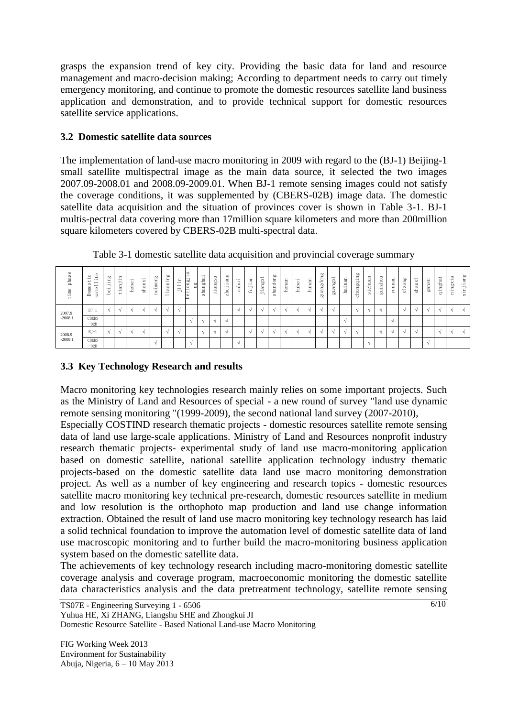grasps the expansion trend of key city. Providing the basic data for land and resource management and macro-decision making; According to department needs to carry out timely emergency monitoring, and continue to promote the domestic resources satellite land business application and demonstration, and to provide technical support for domestic resources satellite service applications.

### **3.2 Domestic satellite data sources**

The implementation of land-use macro monitoring in 2009 with regard to the (BJ-1) Beijing-1 small satellite multispectral image as the main data source, it selected the two images 2007.09-2008.01 and 2008.09-2009.01. When BJ-1 remote sensing images could not satisfy the coverage conditions, it was supplemented by (CBERS-02B) image data. The domestic satellite data acquisition and the situation of provinces cover is shown in Table 3-1. BJ-1 multis-pectral data covering more than 17million square kilometers and more than 200million square kilometers covered by CBERS-02B multi-spectral data.

| phase<br>ime<br>ند  | Φ<br>c<br>$\rightarrow$<br>$\cdot$ $-$<br>$-$<br>÷<br>$\overline{\phantom{0}}$<br>U,<br>$\overline{e}$<br><b>e</b><br>sat<br>c<br>$\Rightarrow$ | go<br>н.<br>$-$<br>$\overline{\phantom{0}}$<br>$-$<br>9e | $\equiv$<br>$\cdot$ $\overline{\phantom{a}}$<br>Ė<br>a<br>$-$<br>$\overline{\phantom{0}}$ | $-1$<br>$\circ$<br>웅<br>ᇰ | $-$<br>$\times$<br>w<br>∸<br>. CO | Ρg<br>$m$ e<br>ī<br>÷ | <b>bo</b><br>$\equiv$<br>aoni<br>$-1$<br>$\rightarrow$ | $-$<br>$\overline{\phantom{0}}$<br>$-$<br>$-$ | gu<br>$\circ$ | <br>ℼ<br>÷<br>ਨਿੰ<br>$\overline{\phantom{0}}$<br>۰<br><b>B</b><br>'M) | $\Rightarrow$<br>m<br>b.<br>$\overline{\phantom{0}}$<br>ਛ<br>$-$<br>$\overline{\phantom{0}}$ | œ<br>$\overline{\phantom{0}}$<br>⊷<br>$\sigma$<br>$\overline{\phantom{a}}$<br>$\overline{\phantom{a}}$<br>Le<br>$\mathbb{N}$ | $\cdot$ $\overline{}$<br>Ξ<br>$\overline{\phantom{a}}$<br>∸<br>⊷<br>ത | an<br>ب.<br>Ċ<br>룹 | $-$<br>angx<br>$\cdot$ $\overline{\phantom{a}}$<br>$\overline{\phantom{0}}$ | ೲ<br>-<br>ndon<br>Lã<br>m | $\overline{\phantom{0}}$<br>ä<br>÷<br>$\sim$<br>$\overline{v}$<br>노 | $-$<br>∽<br>$\equiv$<br>⋍<br>$\overline{\phantom{m}}$<br>ست | $\overline{\phantom{0}}$<br>ಹ<br>÷<br>₩<br>ᅕ | <b>bo</b><br>guangdong | ⊶<br>guangxi | nan<br>İai | <b>bo</b><br><b>Septiment</b><br>$\overline{a}$<br>ರ<br>$\overline{90}$<br><b>Septiments</b><br>$\circ$<br>-6 | ਜ਼<br>÷<br>≕<br>$\overline{\phantom{a}}$<br>-<br>ठ<br>$-$<br>S | ◡<br>ō<br>ᅌ<br>$\mathbf{N}$<br>$-$<br>$\overline{g}$ | -<br>nan<br>Б | ang<br>xiz | $-1$<br>shanx: | $\Rightarrow$<br>in<br>gan | $\overline{\phantom{a}}$<br>a<br>÷<br>힣<br>∺<br>$\cdot$ $\overline{ }$<br>ರ್ | $\sigma$<br>$-$<br>×<br><b>bo</b><br>≕<br>$\overline{\phantom{a}}$<br>$-$<br>$\equiv$ | ang<br>$-$<br>5<br>$\overline{\phantom{a}}$<br><b>1</b><br>$-1$<br>$\mathbf{\times}$ |
|---------------------|-------------------------------------------------------------------------------------------------------------------------------------------------|----------------------------------------------------------|-------------------------------------------------------------------------------------------|---------------------------|-----------------------------------|-----------------------|--------------------------------------------------------|-----------------------------------------------|---------------|-----------------------------------------------------------------------|----------------------------------------------------------------------------------------------|------------------------------------------------------------------------------------------------------------------------------|-----------------------------------------------------------------------|--------------------|-----------------------------------------------------------------------------|---------------------------|---------------------------------------------------------------------|-------------------------------------------------------------|----------------------------------------------|------------------------|--------------|------------|---------------------------------------------------------------------------------------------------------------|----------------------------------------------------------------|------------------------------------------------------|---------------|------------|----------------|----------------------------|------------------------------------------------------------------------------|---------------------------------------------------------------------------------------|--------------------------------------------------------------------------------------|
| 2007.9<br>$-2008.1$ | $BJ-1$                                                                                                                                          |                                                          |                                                                                           |                           |                                   |                       |                                                        |                                               |               |                                                                       |                                                                                              |                                                                                                                              |                                                                       |                    |                                                                             |                           |                                                                     |                                                             |                                              |                        |              |            |                                                                                                               |                                                                |                                                      |               |            |                |                            |                                                                              |                                                                                       |                                                                                      |
|                     | <b>CBERS</b><br>$-02B$                                                                                                                          |                                                          |                                                                                           |                           |                                   |                       |                                                        |                                               |               |                                                                       |                                                                                              |                                                                                                                              |                                                                       |                    |                                                                             |                           |                                                                     |                                                             |                                              |                        |              |            |                                                                                                               |                                                                |                                                      |               |            |                |                            |                                                                              |                                                                                       |                                                                                      |
| 2008.9<br>$-2009.1$ | $BJ-1$                                                                                                                                          |                                                          |                                                                                           |                           |                                   |                       |                                                        |                                               |               |                                                                       |                                                                                              |                                                                                                                              |                                                                       |                    |                                                                             |                           |                                                                     |                                                             |                                              |                        |              |            |                                                                                                               |                                                                |                                                      |               |            | $\Delta$       |                            |                                                                              |                                                                                       |                                                                                      |
|                     | <b>CBERS</b><br>$-02B$                                                                                                                          |                                                          |                                                                                           |                           |                                   |                       |                                                        |                                               |               |                                                                       |                                                                                              |                                                                                                                              |                                                                       |                    |                                                                             |                           |                                                                     |                                                             |                                              |                        |              |            |                                                                                                               |                                                                |                                                      |               |            |                |                            |                                                                              |                                                                                       |                                                                                      |

Table 3-1 domestic satellite data acquisition and provincial coverage summary

## **3.3 Key Technology Research and results**

Macro monitoring key technologies research mainly relies on some important projects. Such as the Ministry of Land and Resources of special - a new round of survey "land use dynamic remote sensing monitoring "(1999-2009), the second national land survey (2007-2010),

Especially COSTIND research thematic projects - domestic resources satellite remote sensing data of land use large-scale applications. Ministry of Land and Resources nonprofit industry research thematic projects- experimental study of land use macro-monitoring application based on domestic satellite, national satellite application technology industry thematic projects-based on the domestic satellite data land use macro monitoring demonstration project. As well as a number of key engineering and research topics - domestic resources satellite macro monitoring key technical pre-research, domestic resources satellite in medium and low resolution is the orthophoto map production and land use change information extraction. Obtained the result of land use macro monitoring key technology research has laid a solid technical foundation to improve the automation level of domestic satellite data of land use macroscopic monitoring and to further build the macro-monitoring business application system based on the domestic satellite data.

The achievements of key technology research including macro-monitoring domestic satellite coverage analysis and coverage program, macroeconomic monitoring the domestic satellite data characteristics analysis and the data pretreatment technology, satellite remote sensing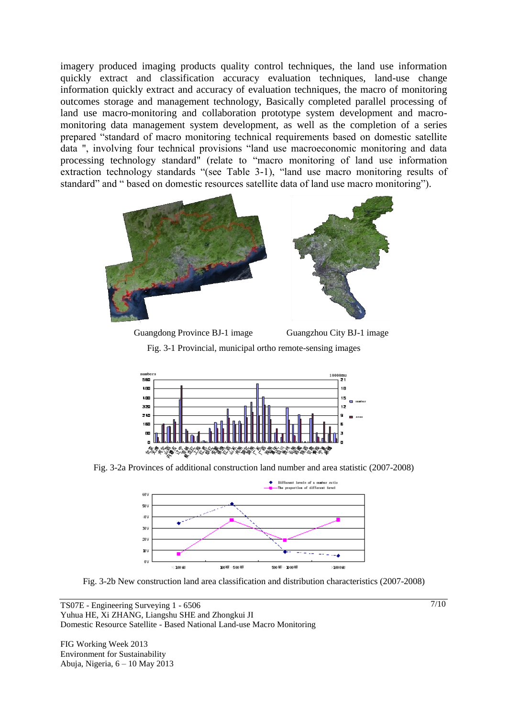imagery produced imaging products quality control techniques, the land use information quickly extract and classification accuracy evaluation techniques, land-use change information quickly extract and accuracy of evaluation techniques, the macro of monitoring outcomes storage and management technology, Basically completed parallel processing of land use macro-monitoring and collaboration prototype system development and macromonitoring data management system development, as well as the completion of a series prepared "standard of macro monitoring technical requirements based on domestic satellite data ", involving four technical provisions "land use macroeconomic monitoring and data processing technology standard" (relate to "macro monitoring of land use information extraction technology standards "(see Table 3-1), "land use macro monitoring results of standard" and " based on domestic resources satellite data of land use macro monitoring").





Fig. 3-1 Provincial, municipal ortho remote-sensing images



Fig. 3-2a Provinces of additional construction land number and area statistic (2007-2008)



Fig. 3-2b New construction land area classification and distribution characteristics (2007-2008)

FIG Working Week 2013 Environment for Sustainability Abuja, Nigeria, 6 – 10 May 2013  $7/10$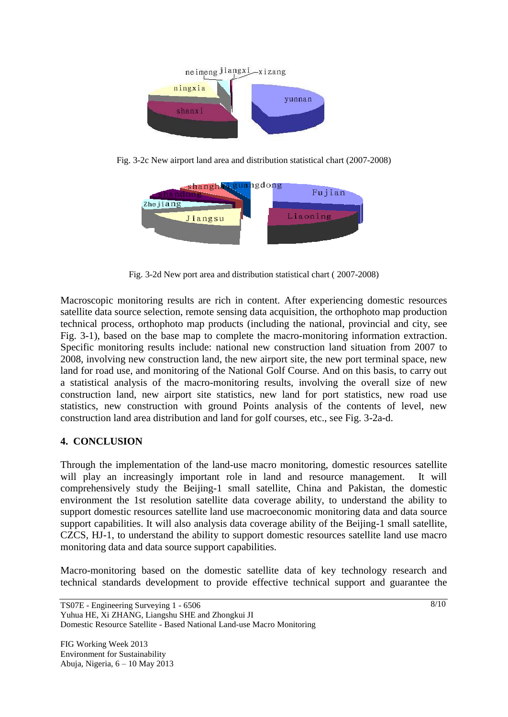

Fig. 3-2c New airport land area and distribution statistical chart (2007-2008)



Fig. 3-2d New port area and distribution statistical chart ( 2007-2008)

Macroscopic monitoring results are rich in content. After experiencing domestic resources satellite data source selection, remote sensing data acquisition, the orthophoto map production technical process, orthophoto map products (including the national, provincial and city, see Fig. 3-1), based on the base map to complete the macro-monitoring information extraction. Specific monitoring results include: national new construction land situation from 2007 to 2008, involving new construction land, the new airport site, the new port terminal space, new land for road use, and monitoring of the National Golf Course. And on this basis, to carry out a statistical analysis of the macro-monitoring results, involving the overall size of new construction land, new airport site statistics, new land for port statistics, new road use statistics, new construction with ground Points analysis of the contents of level, new construction land area distribution and land for golf courses, etc., see Fig. 3-2a-d.

## **4. CONCLUSION**

Through the implementation of the land-use macro monitoring, domestic resources satellite will play an increasingly important role in land and resource management. It will comprehensively study the Beijing-1 small satellite, China and Pakistan, the domestic environment the 1st resolution satellite data coverage ability, to understand the ability to support domestic resources satellite land use macroeconomic monitoring data and data source support capabilities. It will also analysis data coverage ability of the Beijing-1 small satellite, CZCS, HJ-1, to understand the ability to support domestic resources satellite land use macro monitoring data and data source support capabilities.

Macro-monitoring based on the domestic satellite data of key technology research and technical standards development to provide effective technical support and guarantee the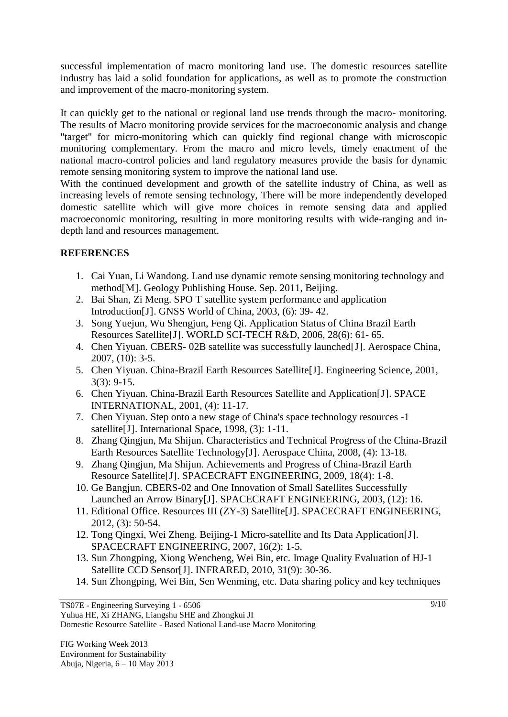successful implementation of macro monitoring land use. The domestic resources satellite industry has laid a solid foundation for applications, as well as to promote the construction and improvement of the macro-monitoring system.

It can quickly get to the national or regional land use trends through the macro- monitoring. The results of Macro monitoring provide services for the macroeconomic analysis and change "target" for micro-monitoring which can quickly find regional change with microscopic monitoring complementary. From the macro and micro levels, timely enactment of the national macro-control policies and land regulatory measures provide the basis for dynamic remote sensing monitoring system to improve the national land use.

With the continued development and growth of the satellite industry of China, as well as increasing levels of remote sensing technology, There will be more independently developed domestic satellite which will give more choices in remote sensing data and applied macroeconomic monitoring, resulting in more monitoring results with wide-ranging and indepth land and resources management.

## **REFERENCES**

- 1. Cai Yuan, Li Wandong. Land use dynamic remote sensing monitoring technology and method[M]. Geology Publishing House. Sep. 2011, Beijing.
- 2. Bai Shan, Zi Meng. SPO T satellite system performance and application Introduction[J]. GNSS World of China, 2003, (6): 39- 42.
- 3. Song Yuejun, Wu Shengjun, Feng Qi. Application Status of China Brazil Earth Resources Satellite[J]. WORLD SCI-TECH R&D, 2006, 28(6): 61- 65.
- 4. Chen Yiyuan. CBERS- 02B satellite was successfully launched[J]. Aerospace China, 2007, (10): 3-5.
- 5. Chen Yiyuan. China-Brazil Earth Resources Satellite[J]. Engineering Science, 2001, 3(3): 9-15.
- 6. Chen Yiyuan. China-Brazil Earth Resources Satellite and Application[J]. SPACE INTERNATIONAL, 2001, (4): 11-17.
- 7. Chen Yiyuan. Step onto a new stage of China's space technology resources -1 satellite<sup>[J]</sup>. International Space, 1998, (3): 1-11.
- 8. Zhang Qingjun, Ma Shijun. Characteristics and Technical Progress of the China-Brazil Earth Resources Satellite Technology[J]. Aerospace China, 2008, (4): 13-18.
- 9. Zhang Qingjun, Ma Shijun. Achievements and Progress of China-Brazil Earth Resource Satellite[J]. SPACECRAFT ENGINEERING, 2009, 18(4): 1-8.
- 10. Ge Bangjun. CBERS-02 and One Innovation of Small Satellites Successfully Launched an Arrow Binary[J]. SPACECRAFT ENGINEERING, 2003, (12): 16.
- 11. Editional Office. Resources III (ZY-3) Satellite[J]. SPACECRAFT ENGINEERING, 2012, (3): 50-54.
- 12. Tong Qingxi, Wei Zheng. Beijing-1 Micro-satellite and Its Data Application[J]. SPACECRAFT ENGINEERING, 2007, 16(2): 1-5.
- 13. Sun Zhongping, Xiong Wencheng, Wei Bin, etc. Image Quality Evaluation of HJ-1 Satellite CCD Sensor[J]. INFRARED, 2010, 31(9): 30-36.
- 14. Sun Zhongping, Wei Bin, Sen Wenming, etc. Data sharing policy and key techniques

Yuhua HE, Xi ZHANG, Liangshu SHE and Zhongkui JI Domestic Resource Satellite - Based National Land-use Macro Monitoring